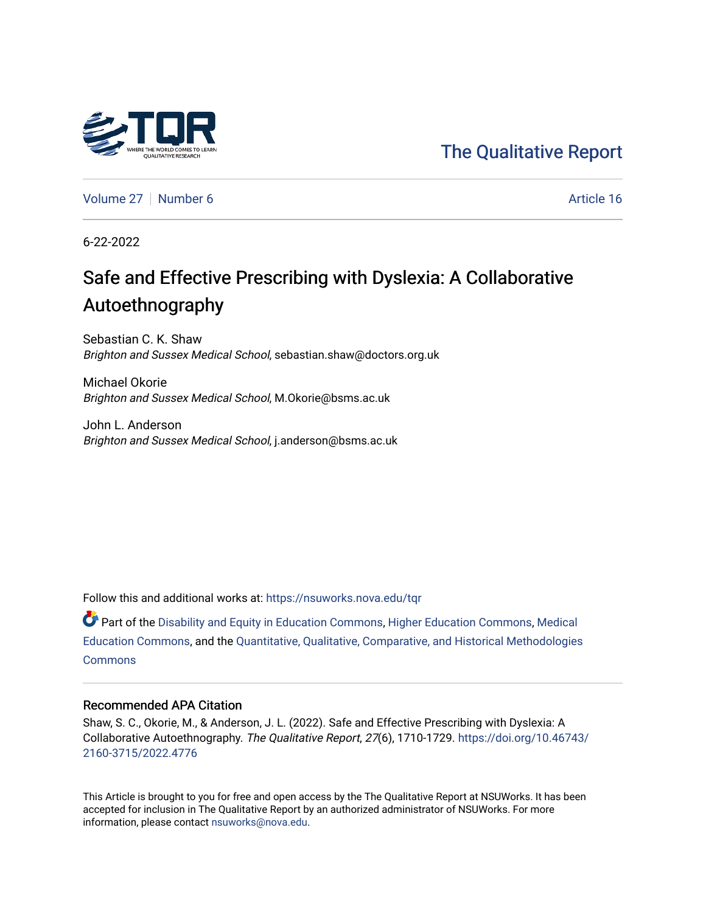# [The Qualitative Report](https://nsuworks.nova.edu/tqr)

[Volume 27](https://nsuworks.nova.edu/tqr/vol27) | [Number 6](https://nsuworks.nova.edu/tqr/vol27/iss6) Article 16

6-22-2022

# Safe and Effective Prescribing with Dyslexia: A Collaborative Autoethnography

Sebastian C. K. Shaw Brighton and Sussex Medical School, sebastian.shaw@doctors.org.uk

Michael Okorie Brighton and Sussex Medical School, M.Okorie@bsms.ac.uk

John L. Anderson Brighton and Sussex Medical School, j.anderson@bsms.ac.uk

Follow this and additional works at: [https://nsuworks.nova.edu/tqr](https://nsuworks.nova.edu/tqr?utm_source=nsuworks.nova.edu%2Ftqr%2Fvol27%2Fiss6%2F16&utm_medium=PDF&utm_campaign=PDFCoverPages) 

Part of the [Disability and Equity in Education Commons](https://network.bepress.com/hgg/discipline/1040?utm_source=nsuworks.nova.edu%2Ftqr%2Fvol27%2Fiss6%2F16&utm_medium=PDF&utm_campaign=PDFCoverPages), [Higher Education Commons](https://network.bepress.com/hgg/discipline/1245?utm_source=nsuworks.nova.edu%2Ftqr%2Fvol27%2Fiss6%2F16&utm_medium=PDF&utm_campaign=PDFCoverPages), [Medical](https://network.bepress.com/hgg/discipline/1125?utm_source=nsuworks.nova.edu%2Ftqr%2Fvol27%2Fiss6%2F16&utm_medium=PDF&utm_campaign=PDFCoverPages) [Education Commons,](https://network.bepress.com/hgg/discipline/1125?utm_source=nsuworks.nova.edu%2Ftqr%2Fvol27%2Fiss6%2F16&utm_medium=PDF&utm_campaign=PDFCoverPages) and the [Quantitative, Qualitative, Comparative, and Historical Methodologies](https://network.bepress.com/hgg/discipline/423?utm_source=nsuworks.nova.edu%2Ftqr%2Fvol27%2Fiss6%2F16&utm_medium=PDF&utm_campaign=PDFCoverPages)  **[Commons](https://network.bepress.com/hgg/discipline/423?utm_source=nsuworks.nova.edu%2Ftqr%2Fvol27%2Fiss6%2F16&utm_medium=PDF&utm_campaign=PDFCoverPages)** 

#### Recommended APA Citation

Shaw, S. C., Okorie, M., & Anderson, J. L. (2022). Safe and Effective Prescribing with Dyslexia: A Collaborative Autoethnography. The Qualitative Report, 27(6), 1710-1729. [https://doi.org/10.46743/](https://doi.org/10.46743/2160-3715/2022.4776) [2160-3715/2022.4776](https://doi.org/10.46743/2160-3715/2022.4776)

This Article is brought to you for free and open access by the The Qualitative Report at NSUWorks. It has been accepted for inclusion in The Qualitative Report by an authorized administrator of NSUWorks. For more information, please contact [nsuworks@nova.edu.](mailto:nsuworks@nova.edu)

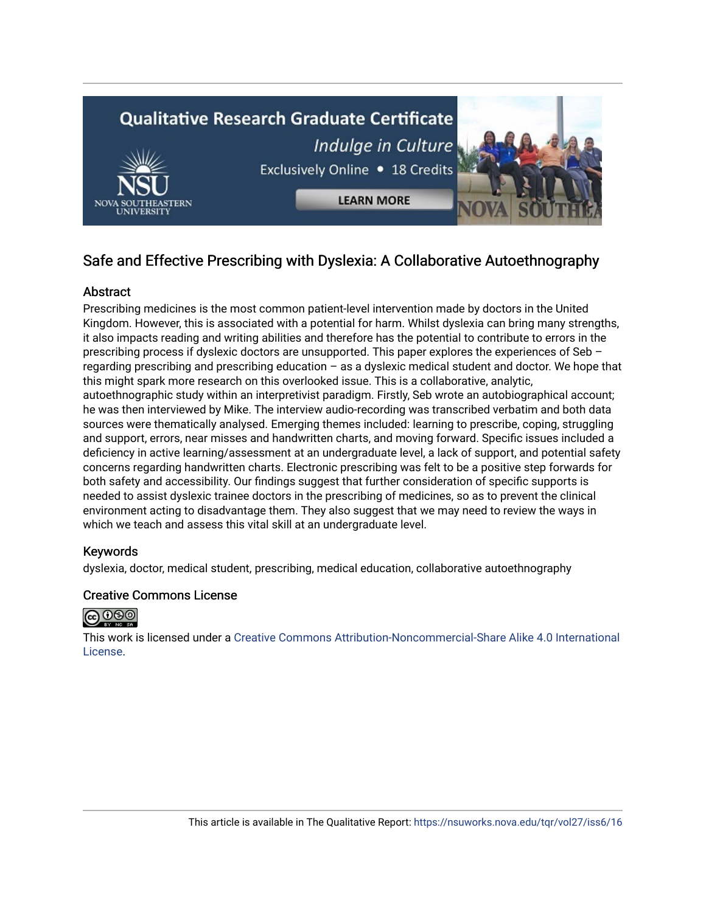

# Safe and Effective Prescribing with Dyslexia: A Collaborative Autoethnography

# Abstract

Prescribing medicines is the most common patient-level intervention made by doctors in the United Kingdom. However, this is associated with a potential for harm. Whilst dyslexia can bring many strengths, it also impacts reading and writing abilities and therefore has the potential to contribute to errors in the prescribing process if dyslexic doctors are unsupported. This paper explores the experiences of Seb – regarding prescribing and prescribing education – as a dyslexic medical student and doctor. We hope that this might spark more research on this overlooked issue. This is a collaborative, analytic, autoethnographic study within an interpretivist paradigm. Firstly, Seb wrote an autobiographical account; he was then interviewed by Mike. The interview audio-recording was transcribed verbatim and both data sources were thematically analysed. Emerging themes included: learning to prescribe, coping, struggling and support, errors, near misses and handwritten charts, and moving forward. Specific issues included a deficiency in active learning/assessment at an undergraduate level, a lack of support, and potential safety concerns regarding handwritten charts. Electronic prescribing was felt to be a positive step forwards for both safety and accessibility. Our findings suggest that further consideration of specific supports is needed to assist dyslexic trainee doctors in the prescribing of medicines, so as to prevent the clinical environment acting to disadvantage them. They also suggest that we may need to review the ways in which we teach and assess this vital skill at an undergraduate level.

# Keywords

dyslexia, doctor, medical student, prescribing, medical education, collaborative autoethnography

# Creative Commons License



This work is licensed under a [Creative Commons Attribution-Noncommercial-Share Alike 4.0 International](https://creativecommons.org/licenses/by-nc-sa/4.0/)  [License](https://creativecommons.org/licenses/by-nc-sa/4.0/).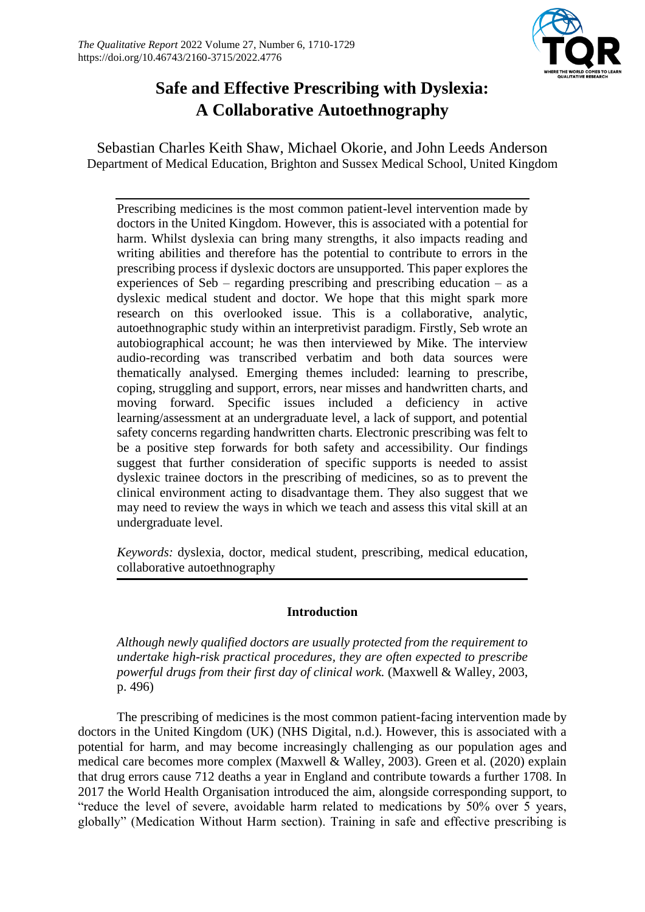

# **Safe and Effective Prescribing with Dyslexia: A Collaborative Autoethnography**

Sebastian Charles Keith Shaw, Michael Okorie, and John Leeds Anderson Department of Medical Education, Brighton and Sussex Medical School, United Kingdom

Prescribing medicines is the most common patient-level intervention made by doctors in the United Kingdom. However, this is associated with a potential for harm. Whilst dyslexia can bring many strengths, it also impacts reading and writing abilities and therefore has the potential to contribute to errors in the prescribing process if dyslexic doctors are unsupported. This paper explores the experiences of Seb – regarding prescribing and prescribing education – as a dyslexic medical student and doctor. We hope that this might spark more research on this overlooked issue. This is a collaborative, analytic, autoethnographic study within an interpretivist paradigm. Firstly, Seb wrote an autobiographical account; he was then interviewed by Mike. The interview audio-recording was transcribed verbatim and both data sources were thematically analysed. Emerging themes included: learning to prescribe, coping, struggling and support, errors, near misses and handwritten charts, and moving forward. Specific issues included a deficiency in active learning/assessment at an undergraduate level, a lack of support, and potential safety concerns regarding handwritten charts. Electronic prescribing was felt to be a positive step forwards for both safety and accessibility. Our findings suggest that further consideration of specific supports is needed to assist dyslexic trainee doctors in the prescribing of medicines, so as to prevent the clinical environment acting to disadvantage them. They also suggest that we may need to review the ways in which we teach and assess this vital skill at an undergraduate level.

*Keywords:* dyslexia, doctor, medical student, prescribing, medical education, collaborative autoethnography

# **Introduction**

*Although newly qualified doctors are usually protected from the requirement to undertake high-risk practical procedures, they are often expected to prescribe powerful drugs from their first day of clinical work.* (Maxwell & Walley, 2003, p. 496)

The prescribing of medicines is the most common patient-facing intervention made by doctors in the United Kingdom (UK) (NHS Digital, n.d.). However, this is associated with a potential for harm, and may become increasingly challenging as our population ages and medical care becomes more complex (Maxwell & Walley, 2003). Green et al. (2020) explain that drug errors cause 712 deaths a year in England and contribute towards a further 1708. In 2017 the World Health Organisation introduced the aim, alongside corresponding support, to "reduce the level of severe, avoidable harm related to medications by 50% over 5 years, globally" (Medication Without Harm section). Training in safe and effective prescribing is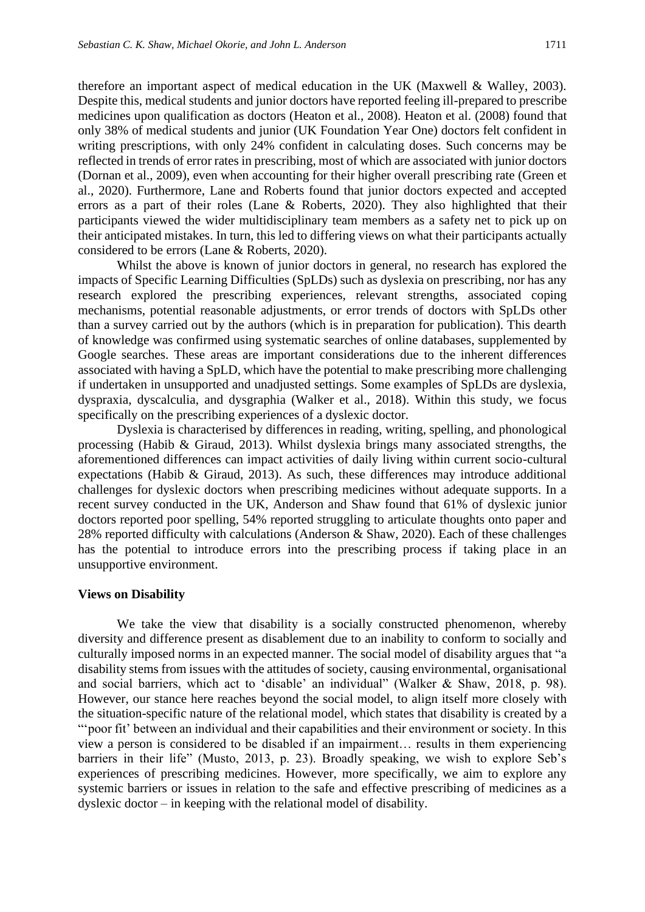therefore an important aspect of medical education in the UK (Maxwell & Walley, 2003). Despite this, medical students and junior doctors have reported feeling ill-prepared to prescribe medicines upon qualification as doctors (Heaton et al., 2008). Heaton et al. (2008) found that only 38% of medical students and junior (UK Foundation Year One) doctors felt confident in writing prescriptions, with only 24% confident in calculating doses. Such concerns may be reflected in trends of error rates in prescribing, most of which are associated with junior doctors (Dornan et al., 2009), even when accounting for their higher overall prescribing rate (Green et al., 2020). Furthermore, Lane and Roberts found that junior doctors expected and accepted errors as a part of their roles (Lane & Roberts, 2020). They also highlighted that their participants viewed the wider multidisciplinary team members as a safety net to pick up on their anticipated mistakes. In turn, this led to differing views on what their participants actually considered to be errors (Lane & Roberts, 2020).

Whilst the above is known of junior doctors in general, no research has explored the impacts of Specific Learning Difficulties (SpLDs) such as dyslexia on prescribing, nor has any research explored the prescribing experiences, relevant strengths, associated coping mechanisms, potential reasonable adjustments, or error trends of doctors with SpLDs other than a survey carried out by the authors (which is in preparation for publication). This dearth of knowledge was confirmed using systematic searches of online databases, supplemented by Google searches. These areas are important considerations due to the inherent differences associated with having a SpLD, which have the potential to make prescribing more challenging if undertaken in unsupported and unadjusted settings. Some examples of SpLDs are dyslexia, dyspraxia, dyscalculia, and dysgraphia (Walker et al., 2018). Within this study, we focus specifically on the prescribing experiences of a dyslexic doctor.

Dyslexia is characterised by differences in reading, writing, spelling, and phonological processing (Habib & Giraud, 2013). Whilst dyslexia brings many associated strengths, the aforementioned differences can impact activities of daily living within current socio-cultural expectations (Habib & Giraud, 2013). As such, these differences may introduce additional challenges for dyslexic doctors when prescribing medicines without adequate supports. In a recent survey conducted in the UK, Anderson and Shaw found that 61% of dyslexic junior doctors reported poor spelling, 54% reported struggling to articulate thoughts onto paper and 28% reported difficulty with calculations (Anderson & Shaw, 2020). Each of these challenges has the potential to introduce errors into the prescribing process if taking place in an unsupportive environment.

#### **Views on Disability**

We take the view that disability is a socially constructed phenomenon, whereby diversity and difference present as disablement due to an inability to conform to socially and culturally imposed norms in an expected manner. The social model of disability argues that "a disability stems from issues with the attitudes of society, causing environmental, organisational and social barriers, which act to 'disable' an individual" (Walker & Shaw, 2018, p. 98). However, our stance here reaches beyond the social model, to align itself more closely with the situation-specific nature of the relational model, which states that disability is created by a "'poor fit' between an individual and their capabilities and their environment or society. In this view a person is considered to be disabled if an impairment… results in them experiencing barriers in their life" (Musto, 2013, p. 23). Broadly speaking, we wish to explore Seb's experiences of prescribing medicines. However, more specifically, we aim to explore any systemic barriers or issues in relation to the safe and effective prescribing of medicines as a dyslexic doctor – in keeping with the relational model of disability.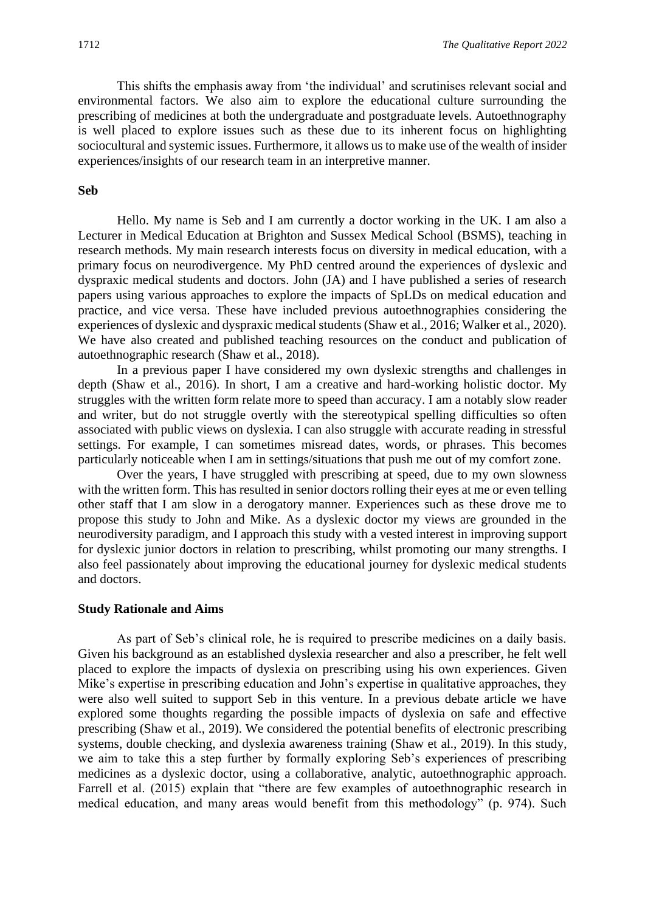This shifts the emphasis away from 'the individual' and scrutinises relevant social and environmental factors. We also aim to explore the educational culture surrounding the prescribing of medicines at both the undergraduate and postgraduate levels. Autoethnography is well placed to explore issues such as these due to its inherent focus on highlighting sociocultural and systemic issues. Furthermore, it allows us to make use of the wealth of insider experiences/insights of our research team in an interpretive manner.

#### **Seb**

Hello. My name is Seb and I am currently a doctor working in the UK. I am also a Lecturer in Medical Education at Brighton and Sussex Medical School (BSMS), teaching in research methods. My main research interests focus on diversity in medical education, with a primary focus on neurodivergence. My PhD centred around the experiences of dyslexic and dyspraxic medical students and doctors. John (JA) and I have published a series of research papers using various approaches to explore the impacts of SpLDs on medical education and practice, and vice versa. These have included previous autoethnographies considering the experiences of dyslexic and dyspraxic medical students (Shaw et al., 2016; Walker et al., 2020). We have also created and published teaching resources on the conduct and publication of autoethnographic research (Shaw et al., 2018).

In a previous paper I have considered my own dyslexic strengths and challenges in depth (Shaw et al., 2016). In short, I am a creative and hard-working holistic doctor. My struggles with the written form relate more to speed than accuracy. I am a notably slow reader and writer, but do not struggle overtly with the stereotypical spelling difficulties so often associated with public views on dyslexia. I can also struggle with accurate reading in stressful settings. For example, I can sometimes misread dates, words, or phrases. This becomes particularly noticeable when I am in settings/situations that push me out of my comfort zone.

Over the years, I have struggled with prescribing at speed, due to my own slowness with the written form. This has resulted in senior doctors rolling their eyes at me or even telling other staff that I am slow in a derogatory manner. Experiences such as these drove me to propose this study to John and Mike. As a dyslexic doctor my views are grounded in the neurodiversity paradigm, and I approach this study with a vested interest in improving support for dyslexic junior doctors in relation to prescribing, whilst promoting our many strengths. I also feel passionately about improving the educational journey for dyslexic medical students and doctors.

#### **Study Rationale and Aims**

As part of Seb's clinical role, he is required to prescribe medicines on a daily basis. Given his background as an established dyslexia researcher and also a prescriber, he felt well placed to explore the impacts of dyslexia on prescribing using his own experiences. Given Mike's expertise in prescribing education and John's expertise in qualitative approaches, they were also well suited to support Seb in this venture. In a previous debate article we have explored some thoughts regarding the possible impacts of dyslexia on safe and effective prescribing (Shaw et al., 2019). We considered the potential benefits of electronic prescribing systems, double checking, and dyslexia awareness training (Shaw et al., 2019). In this study, we aim to take this a step further by formally exploring Seb's experiences of prescribing medicines as a dyslexic doctor, using a collaborative, analytic, autoethnographic approach. Farrell et al. (2015) explain that "there are few examples of autoethnographic research in medical education, and many areas would benefit from this methodology" (p. 974). Such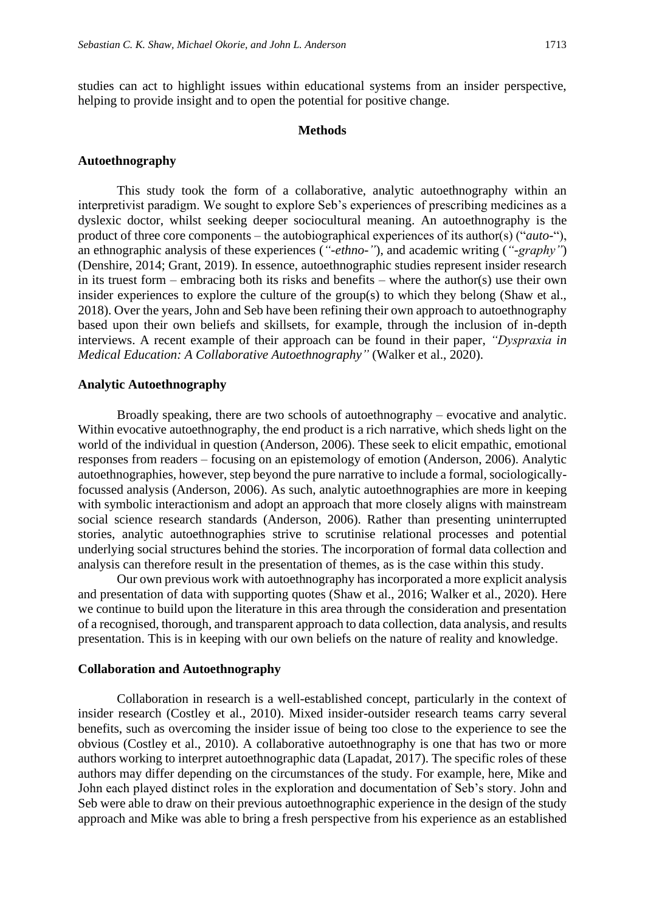studies can act to highlight issues within educational systems from an insider perspective, helping to provide insight and to open the potential for positive change.

#### **Methods**

#### **Autoethnography**

This study took the form of a collaborative, analytic autoethnography within an interpretivist paradigm. We sought to explore Seb's experiences of prescribing medicines as a dyslexic doctor, whilst seeking deeper sociocultural meaning. An autoethnography is the product of three core components – the autobiographical experiences of its author(s) ("*auto-*"), an ethnographic analysis of these experiences (*"-ethno-"*), and academic writing (*"-graphy"*) (Denshire, 2014; Grant, 2019). In essence, autoethnographic studies represent insider research in its truest form – embracing both its risks and benefits – where the author(s) use their own insider experiences to explore the culture of the group(s) to which they belong (Shaw et al., 2018). Over the years, John and Seb have been refining their own approach to autoethnography based upon their own beliefs and skillsets, for example, through the inclusion of in-depth interviews. A recent example of their approach can be found in their paper, *"Dyspraxia in Medical Education: A Collaborative Autoethnography"* (Walker et al., 2020).

#### **Analytic Autoethnography**

Broadly speaking, there are two schools of autoethnography – evocative and analytic. Within evocative autoethnography, the end product is a rich narrative, which sheds light on the world of the individual in question (Anderson, 2006). These seek to elicit empathic, emotional responses from readers – focusing on an epistemology of emotion (Anderson, 2006). Analytic autoethnographies, however, step beyond the pure narrative to include a formal, sociologicallyfocussed analysis (Anderson, 2006). As such, analytic autoethnographies are more in keeping with symbolic interactionism and adopt an approach that more closely aligns with mainstream social science research standards (Anderson, 2006). Rather than presenting uninterrupted stories, analytic autoethnographies strive to scrutinise relational processes and potential underlying social structures behind the stories. The incorporation of formal data collection and analysis can therefore result in the presentation of themes, as is the case within this study.

Our own previous work with autoethnography has incorporated a more explicit analysis and presentation of data with supporting quotes (Shaw et al., 2016; Walker et al., 2020). Here we continue to build upon the literature in this area through the consideration and presentation of a recognised, thorough, and transparent approach to data collection, data analysis, and results presentation. This is in keeping with our own beliefs on the nature of reality and knowledge.

#### **Collaboration and Autoethnography**

Collaboration in research is a well-established concept, particularly in the context of insider research (Costley et al., 2010). Mixed insider-outsider research teams carry several benefits, such as overcoming the insider issue of being too close to the experience to see the obvious (Costley et al., 2010). A collaborative autoethnography is one that has two or more authors working to interpret autoethnographic data (Lapadat, 2017). The specific roles of these authors may differ depending on the circumstances of the study. For example, here, Mike and John each played distinct roles in the exploration and documentation of Seb's story. John and Seb were able to draw on their previous autoethnographic experience in the design of the study approach and Mike was able to bring a fresh perspective from his experience as an established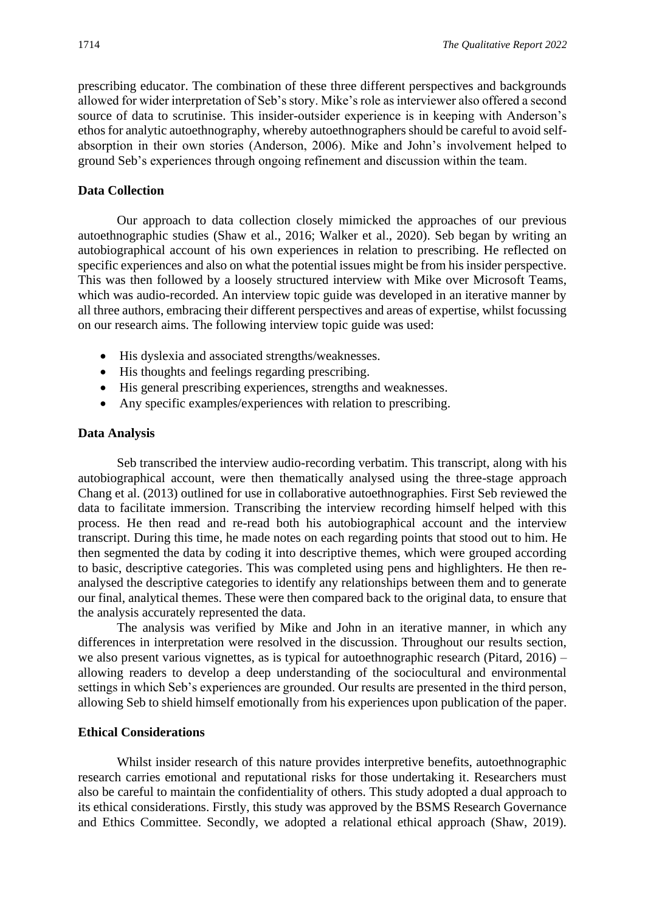prescribing educator. The combination of these three different perspectives and backgrounds allowed for wider interpretation of Seb's story. Mike's role as interviewer also offered a second source of data to scrutinise. This insider-outsider experience is in keeping with Anderson's ethos for analytic autoethnography, whereby autoethnographers should be careful to avoid selfabsorption in their own stories (Anderson, 2006). Mike and John's involvement helped to ground Seb's experiences through ongoing refinement and discussion within the team.

#### **Data Collection**

Our approach to data collection closely mimicked the approaches of our previous autoethnographic studies (Shaw et al., 2016; Walker et al., 2020). Seb began by writing an autobiographical account of his own experiences in relation to prescribing. He reflected on specific experiences and also on what the potential issues might be from his insider perspective. This was then followed by a loosely structured interview with Mike over Microsoft Teams, which was audio-recorded. An interview topic guide was developed in an iterative manner by all three authors, embracing their different perspectives and areas of expertise, whilst focussing on our research aims. The following interview topic guide was used:

- His dyslexia and associated strengths/weaknesses.
- His thoughts and feelings regarding prescribing.
- His general prescribing experiences, strengths and weaknesses.
- Any specific examples/experiences with relation to prescribing.

#### **Data Analysis**

Seb transcribed the interview audio-recording verbatim. This transcript, along with his autobiographical account, were then thematically analysed using the three-stage approach Chang et al. (2013) outlined for use in collaborative autoethnographies. First Seb reviewed the data to facilitate immersion. Transcribing the interview recording himself helped with this process. He then read and re-read both his autobiographical account and the interview transcript. During this time, he made notes on each regarding points that stood out to him. He then segmented the data by coding it into descriptive themes, which were grouped according to basic, descriptive categories. This was completed using pens and highlighters. He then reanalysed the descriptive categories to identify any relationships between them and to generate our final, analytical themes. These were then compared back to the original data, to ensure that the analysis accurately represented the data.

The analysis was verified by Mike and John in an iterative manner, in which any differences in interpretation were resolved in the discussion. Throughout our results section, we also present various vignettes, as is typical for autoethnographic research (Pitard, 2016) – allowing readers to develop a deep understanding of the sociocultural and environmental settings in which Seb's experiences are grounded. Our results are presented in the third person, allowing Seb to shield himself emotionally from his experiences upon publication of the paper.

#### **Ethical Considerations**

Whilst insider research of this nature provides interpretive benefits, autoethnographic research carries emotional and reputational risks for those undertaking it. Researchers must also be careful to maintain the confidentiality of others. This study adopted a dual approach to its ethical considerations. Firstly, this study was approved by the BSMS Research Governance and Ethics Committee. Secondly, we adopted a relational ethical approach (Shaw, 2019).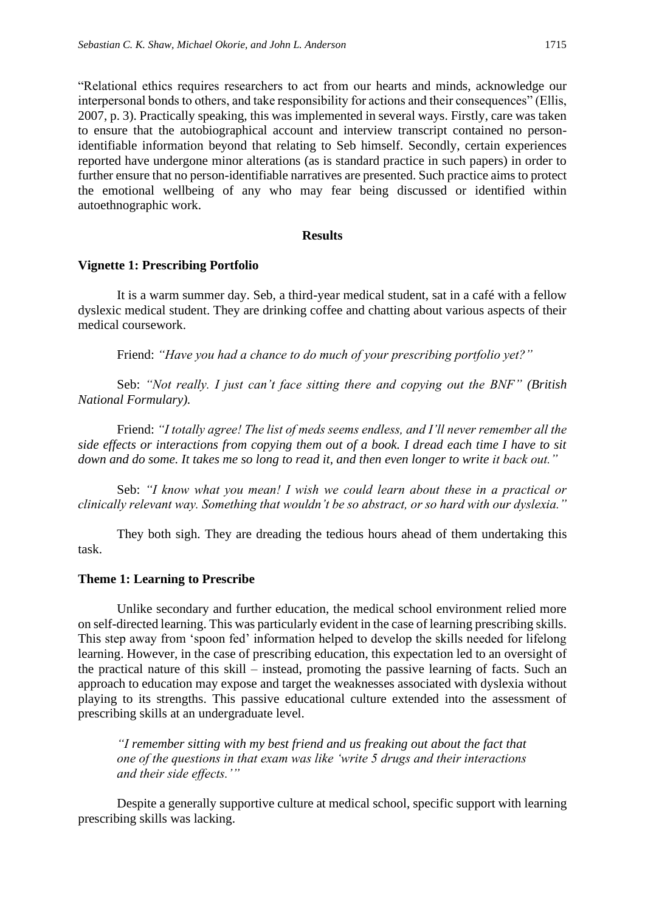"Relational ethics requires researchers to act from our hearts and minds, acknowledge our interpersonal bonds to others, and take responsibility for actions and their consequences" (Ellis, 2007, p. 3). Practically speaking, this was implemented in several ways. Firstly, care was taken to ensure that the autobiographical account and interview transcript contained no personidentifiable information beyond that relating to Seb himself. Secondly, certain experiences reported have undergone minor alterations (as is standard practice in such papers) in order to further ensure that no person-identifiable narratives are presented. Such practice aims to protect the emotional wellbeing of any who may fear being discussed or identified within autoethnographic work.

#### **Results**

#### **Vignette 1: Prescribing Portfolio**

It is a warm summer day. Seb, a third-year medical student, sat in a café with a fellow dyslexic medical student. They are drinking coffee and chatting about various aspects of their medical coursework.

Friend: *"Have you had a chance to do much of your prescribing portfolio yet?"*

Seb: *"Not really. I just can't face sitting there and copying out the BNF" (British National Formulary).*

Friend: *"I totally agree! The list of meds seems endless, and I'll never remember all the side effects or interactions from copying them out of a book. I dread each time I have to sit down and do some. It takes me so long to read it, and then even longer to write it back out."*

Seb: *"I know what you mean! I wish we could learn about these in a practical or clinically relevant way. Something that wouldn't be so abstract, or so hard with our dyslexia."*

They both sigh. They are dreading the tedious hours ahead of them undertaking this task.

#### **Theme 1: Learning to Prescribe**

Unlike secondary and further education, the medical school environment relied more on self-directed learning. This was particularly evident in the case of learning prescribing skills. This step away from 'spoon fed' information helped to develop the skills needed for lifelong learning. However, in the case of prescribing education, this expectation led to an oversight of the practical nature of this skill – instead, promoting the passive learning of facts. Such an approach to education may expose and target the weaknesses associated with dyslexia without playing to its strengths. This passive educational culture extended into the assessment of prescribing skills at an undergraduate level.

*"I remember sitting with my best friend and us freaking out about the fact that one of the questions in that exam was like 'write 5 drugs and their interactions and their side effects.'"*

Despite a generally supportive culture at medical school, specific support with learning prescribing skills was lacking.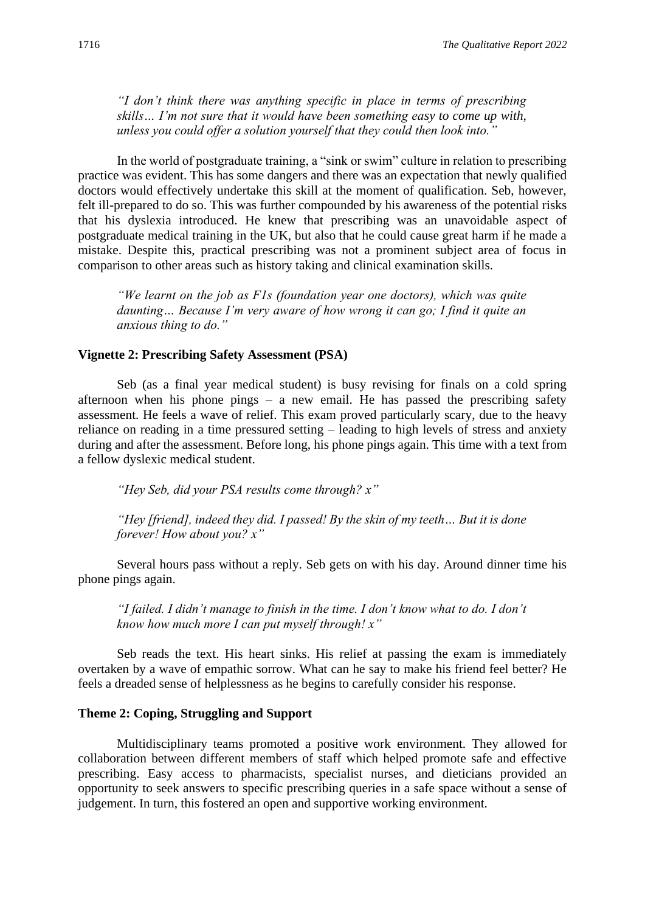*"I don't think there was anything specific in place in terms of prescribing skills… I'm not sure that it would have been something easy to come up with, unless you could offer a solution yourself that they could then look into."* 

In the world of postgraduate training, a "sink or swim" culture in relation to prescribing practice was evident. This has some dangers and there was an expectation that newly qualified doctors would effectively undertake this skill at the moment of qualification. Seb, however, felt ill-prepared to do so. This was further compounded by his awareness of the potential risks that his dyslexia introduced. He knew that prescribing was an unavoidable aspect of postgraduate medical training in the UK, but also that he could cause great harm if he made a mistake. Despite this, practical prescribing was not a prominent subject area of focus in comparison to other areas such as history taking and clinical examination skills.

*"We learnt on the job as F1s (foundation year one doctors), which was quite daunting… Because I'm very aware of how wrong it can go; I find it quite an anxious thing to do."*

#### **Vignette 2: Prescribing Safety Assessment (PSA)**

Seb (as a final year medical student) is busy revising for finals on a cold spring afternoon when his phone pings – a new email. He has passed the prescribing safety assessment. He feels a wave of relief. This exam proved particularly scary, due to the heavy reliance on reading in a time pressured setting – leading to high levels of stress and anxiety during and after the assessment. Before long, his phone pings again. This time with a text from a fellow dyslexic medical student.

*"Hey Seb, did your PSA results come through? x"*

*"Hey [friend], indeed they did. I passed! By the skin of my teeth… But it is done forever! How about you? x"*

Several hours pass without a reply. Seb gets on with his day. Around dinner time his phone pings again.

*"I failed. I didn't manage to finish in the time. I don't know what to do. I don't know how much more I can put myself through! x"*

Seb reads the text. His heart sinks. His relief at passing the exam is immediately overtaken by a wave of empathic sorrow. What can he say to make his friend feel better? He feels a dreaded sense of helplessness as he begins to carefully consider his response.

#### **Theme 2: Coping, Struggling and Support**

Multidisciplinary teams promoted a positive work environment. They allowed for collaboration between different members of staff which helped promote safe and effective prescribing. Easy access to pharmacists, specialist nurses, and dieticians provided an opportunity to seek answers to specific prescribing queries in a safe space without a sense of judgement. In turn, this fostered an open and supportive working environment.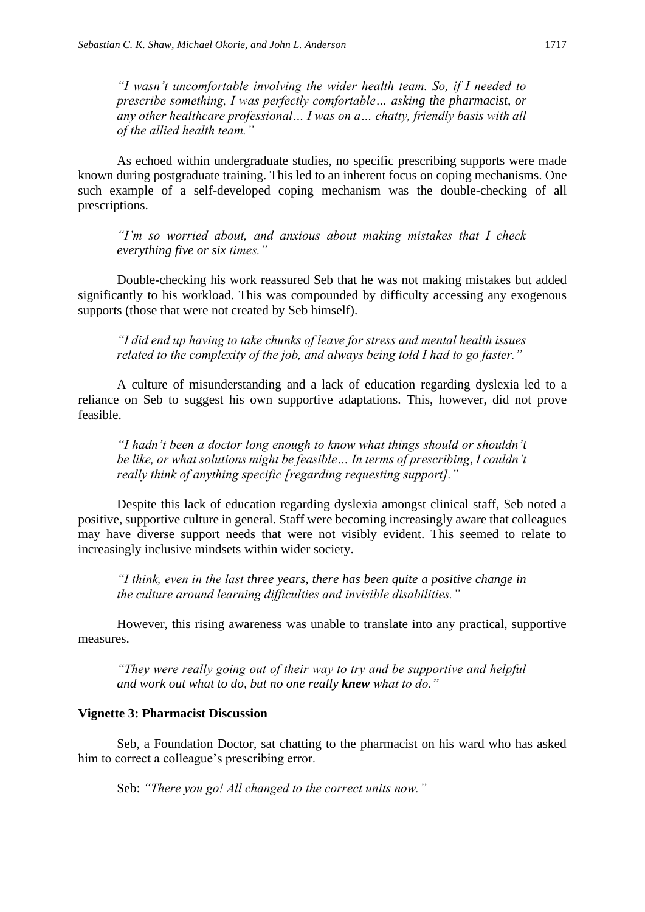*"I wasn't uncomfortable involving the wider health team. So, if I needed to prescribe something, I was perfectly comfortable… asking the pharmacist, or any other healthcare professional… I was on a… chatty, friendly basis with all of the allied health team."*

As echoed within undergraduate studies, no specific prescribing supports were made known during postgraduate training. This led to an inherent focus on coping mechanisms. One such example of a self-developed coping mechanism was the double-checking of all prescriptions.

*"I'm so worried about, and anxious about making mistakes that I check everything five or six times."*

Double-checking his work reassured Seb that he was not making mistakes but added significantly to his workload. This was compounded by difficulty accessing any exogenous supports (those that were not created by Seb himself).

*"I did end up having to take chunks of leave for stress and mental health issues related to the complexity of the job, and always being told I had to go faster."*

A culture of misunderstanding and a lack of education regarding dyslexia led to a reliance on Seb to suggest his own supportive adaptations. This, however, did not prove feasible.

*"I hadn't been a doctor long enough to know what things should or shouldn't be like, or what solutions might be feasible… In terms of prescribing, I couldn't really think of anything specific [regarding requesting support]."*

Despite this lack of education regarding dyslexia amongst clinical staff, Seb noted a positive, supportive culture in general. Staff were becoming increasingly aware that colleagues may have diverse support needs that were not visibly evident. This seemed to relate to increasingly inclusive mindsets within wider society.

*"I think, even in the last three years, there has been quite a positive change in the culture around learning difficulties and invisible disabilities."* 

However, this rising awareness was unable to translate into any practical, supportive measures.

*"They were really going out of their way to try and be supportive and helpful and work out what to do, but no one really knew what to do."*

#### **Vignette 3: Pharmacist Discussion**

Seb, a Foundation Doctor, sat chatting to the pharmacist on his ward who has asked him to correct a colleague's prescribing error.

Seb: *"There you go! All changed to the correct units now."*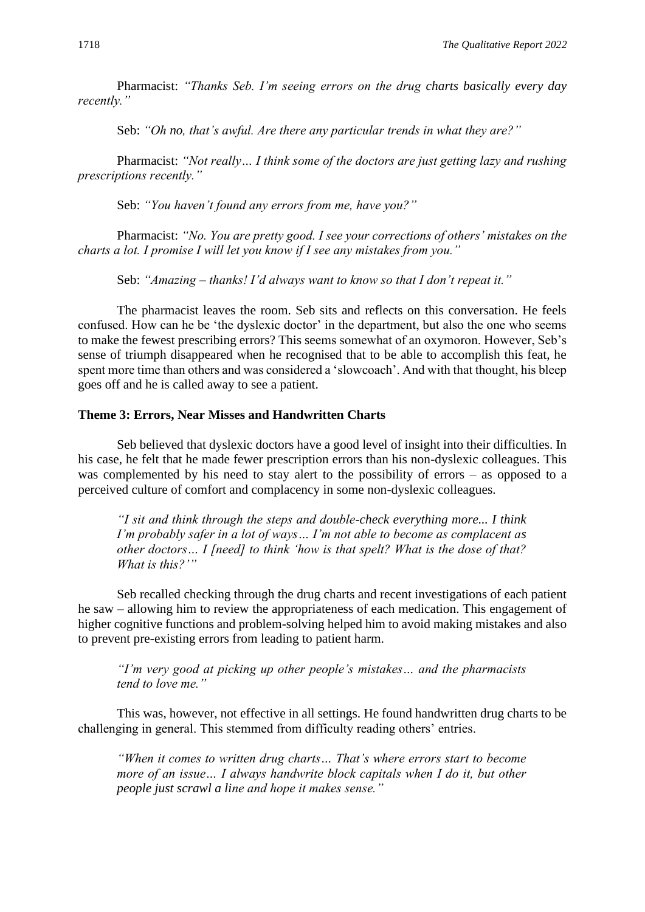Pharmacist: *"Thanks Seb. I'm seeing errors on the drug charts basically every day recently."*

Seb: *"Oh no, that's awful. Are there any particular trends in what they are?"*

Pharmacist: *"Not really… I think some of the doctors are just getting lazy and rushing prescriptions recently."*

Seb: *"You haven't found any errors from me, have you?"*

Pharmacist: *"No. You are pretty good. I see your corrections of others' mistakes on the charts a lot. I promise I will let you know if I see any mistakes from you."*

Seb: *"Amazing – thanks! I'd always want to know so that I don't repeat it."*

The pharmacist leaves the room. Seb sits and reflects on this conversation. He feels confused. How can he be 'the dyslexic doctor' in the department, but also the one who seems to make the fewest prescribing errors? This seems somewhat of an oxymoron. However, Seb's sense of triumph disappeared when he recognised that to be able to accomplish this feat, he spent more time than others and was considered a 'slowcoach'. And with that thought, his bleep goes off and he is called away to see a patient.

#### **Theme 3: Errors, Near Misses and Handwritten Charts**

Seb believed that dyslexic doctors have a good level of insight into their difficulties. In his case, he felt that he made fewer prescription errors than his non-dyslexic colleagues. This was complemented by his need to stay alert to the possibility of errors – as opposed to a perceived culture of comfort and complacency in some non-dyslexic colleagues.

*"I sit and think through the steps and double-check everything more... I think I'm probably safer in a lot of ways… I'm not able to become as complacent as other doctors… I [need] to think 'how is that spelt? What is the dose of that? What is this?'"*

Seb recalled checking through the drug charts and recent investigations of each patient he saw – allowing him to review the appropriateness of each medication. This engagement of higher cognitive functions and problem-solving helped him to avoid making mistakes and also to prevent pre-existing errors from leading to patient harm.

*"I'm very good at picking up other people's mistakes… and the pharmacists tend to love me."*

This was, however, not effective in all settings. He found handwritten drug charts to be challenging in general. This stemmed from difficulty reading others' entries.

*"When it comes to written drug charts… That's where errors start to become more of an issue… I always handwrite block capitals when I do it, but other people just scrawl a line and hope it makes sense."*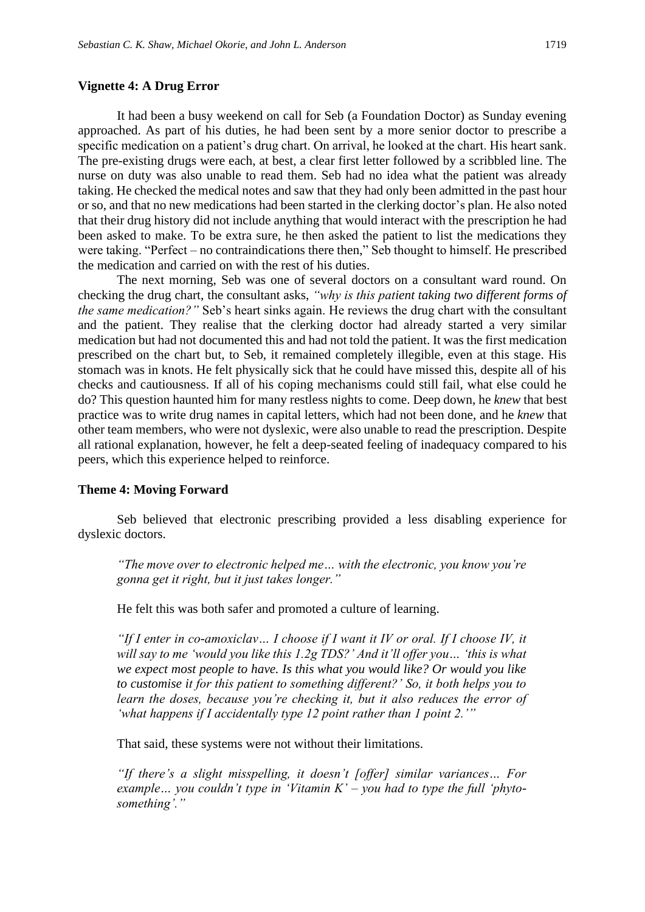#### **Vignette 4: A Drug Error**

It had been a busy weekend on call for Seb (a Foundation Doctor) as Sunday evening approached. As part of his duties, he had been sent by a more senior doctor to prescribe a specific medication on a patient's drug chart. On arrival, he looked at the chart. His heart sank. The pre-existing drugs were each, at best, a clear first letter followed by a scribbled line. The nurse on duty was also unable to read them. Seb had no idea what the patient was already taking. He checked the medical notes and saw that they had only been admitted in the past hour or so, and that no new medications had been started in the clerking doctor's plan. He also noted that their drug history did not include anything that would interact with the prescription he had been asked to make. To be extra sure, he then asked the patient to list the medications they were taking. "Perfect – no contraindications there then," Seb thought to himself. He prescribed the medication and carried on with the rest of his duties.

The next morning, Seb was one of several doctors on a consultant ward round. On checking the drug chart, the consultant asks, *"why is this patient taking two different forms of the same medication?"* Seb's heart sinks again. He reviews the drug chart with the consultant and the patient. They realise that the clerking doctor had already started a very similar medication but had not documented this and had not told the patient. It was the first medication prescribed on the chart but, to Seb, it remained completely illegible, even at this stage. His stomach was in knots. He felt physically sick that he could have missed this, despite all of his checks and cautiousness. If all of his coping mechanisms could still fail, what else could he do? This question haunted him for many restless nights to come. Deep down, he *knew* that best practice was to write drug names in capital letters, which had not been done, and he *knew* that other team members, who were not dyslexic, were also unable to read the prescription. Despite all rational explanation, however, he felt a deep-seated feeling of inadequacy compared to his peers, which this experience helped to reinforce.

#### **Theme 4: Moving Forward**

Seb believed that electronic prescribing provided a less disabling experience for dyslexic doctors.

*"The move over to electronic helped me… with the electronic, you know you're gonna get it right, but it just takes longer."* 

He felt this was both safer and promoted a culture of learning.

*"If I enter in co-amoxiclav… I choose if I want it IV or oral. If I choose IV, it will say to me 'would you like this 1.2g TDS?' And it'll offer you… 'this is what we expect most people to have. Is this what you would like? Or would you like to customise it for this patient to something different?' So, it both helps you to learn the doses, because you're checking it, but it also reduces the error of 'what happens if I accidentally type 12 point rather than 1 point 2.'"* 

That said, these systems were not without their limitations.

*"If there's a slight misspelling, it doesn't [offer] similar variances… For example… you couldn't type in 'Vitamin K' – you had to type the full 'phytosomething'."*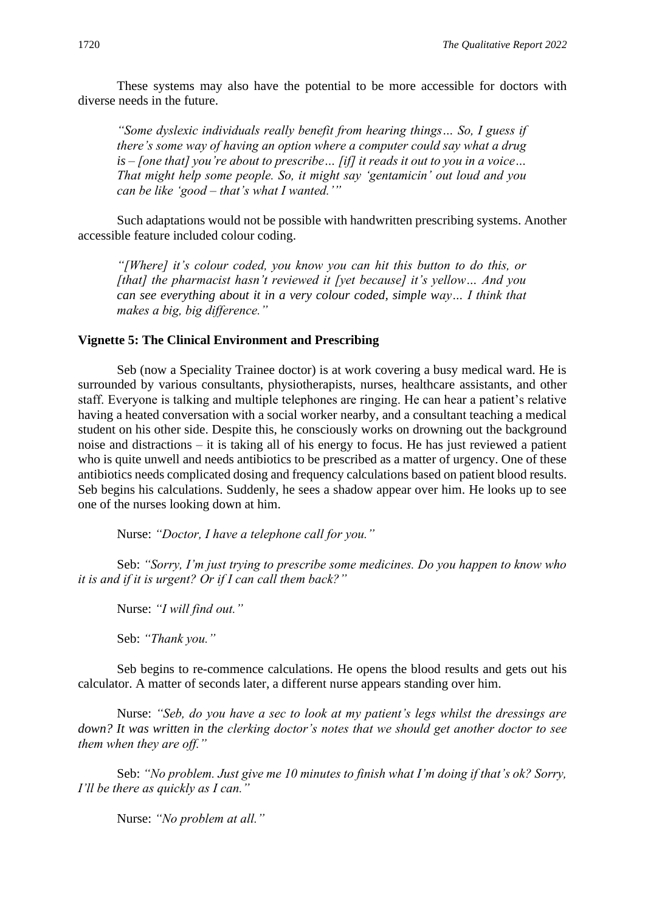These systems may also have the potential to be more accessible for doctors with diverse needs in the future.

*"Some dyslexic individuals really benefit from hearing things… So, I guess if there's some way of having an option where a computer could say what a drug is – [one that] you're about to prescribe… [if] it reads it out to you in a voice… That might help some people. So, it might say 'gentamicin' out loud and you can be like 'good – that's what I wanted.'"*

Such adaptations would not be possible with handwritten prescribing systems. Another accessible feature included colour coding.

*"[Where] it's colour coded, you know you can hit this button to do this, or [that] the pharmacist hasn't reviewed it [yet because] it's yellow… And you can see everything about it in a very colour coded, simple way… I think that makes a big, big difference."*

#### **Vignette 5: The Clinical Environment and Prescribing**

Seb (now a Speciality Trainee doctor) is at work covering a busy medical ward. He is surrounded by various consultants, physiotherapists, nurses, healthcare assistants, and other staff. Everyone is talking and multiple telephones are ringing. He can hear a patient's relative having a heated conversation with a social worker nearby, and a consultant teaching a medical student on his other side. Despite this, he consciously works on drowning out the background noise and distractions – it is taking all of his energy to focus. He has just reviewed a patient who is quite unwell and needs antibiotics to be prescribed as a matter of urgency. One of these antibiotics needs complicated dosing and frequency calculations based on patient blood results. Seb begins his calculations. Suddenly, he sees a shadow appear over him. He looks up to see one of the nurses looking down at him.

Nurse: *"Doctor, I have a telephone call for you."*

Seb: *"Sorry, I'm just trying to prescribe some medicines. Do you happen to know who it is and if it is urgent? Or if I can call them back?"*

Nurse: *"I will find out."*

Seb: *"Thank you."*

Seb begins to re-commence calculations. He opens the blood results and gets out his calculator. A matter of seconds later, a different nurse appears standing over him.

Nurse: *"Seb, do you have a sec to look at my patient's legs whilst the dressings are down? It was written in the clerking doctor's notes that we should get another doctor to see them when they are off."*

Seb: *"No problem. Just give me 10 minutes to finish what I'm doing if that's ok? Sorry, I'll be there as quickly as I can."*

Nurse: *"No problem at all."*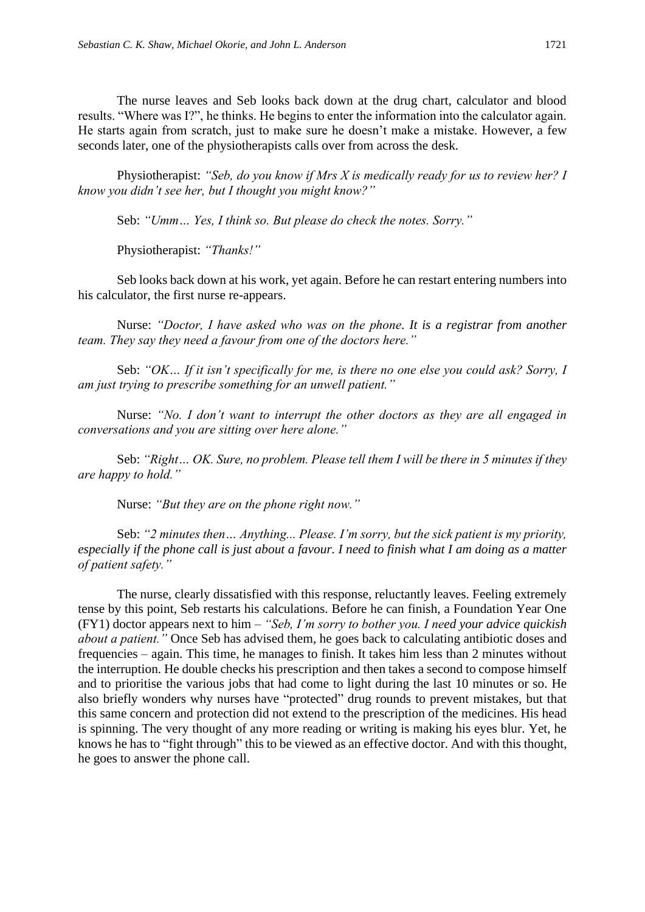The nurse leaves and Seb looks back down at the drug chart, calculator and blood results. "Where was I?", he thinks. He begins to enter the information into the calculator again. He starts again from scratch, just to make sure he doesn't make a mistake. However, a few seconds later, one of the physiotherapists calls over from across the desk.

Physiotherapist: *"Seb, do you know if Mrs X is medically ready for us to review her? I know you didn't see her, but I thought you might know?"*

Seb: *"Umm… Yes, I think so. But please do check the notes. Sorry."*

Physiotherapist: *"Thanks!"*

Seb looks back down at his work, yet again. Before he can restart entering numbers into his calculator, the first nurse re-appears.

Nurse: *"Doctor, I have asked who was on the phone. It is a registrar from another team. They say they need a favour from one of the doctors here."*

Seb: *"OK… If it isn't specifically for me, is there no one else you could ask? Sorry, I am just trying to prescribe something for an unwell patient."*

Nurse: *"No. I don't want to interrupt the other doctors as they are all engaged in conversations and you are sitting over here alone."*

Seb: *"Right… OK. Sure, no problem. Please tell them I will be there in 5 minutes if they are happy to hold."*

Nurse: *"But they are on the phone right now."*

Seb: *"2 minutes then… Anything... Please. I'm sorry, but the sick patient is my priority, especially if the phone call is just about a favour. I need to finish what I am doing as a matter of patient safety."*

The nurse, clearly dissatisfied with this response, reluctantly leaves. Feeling extremely tense by this point, Seb restarts his calculations. Before he can finish, a Foundation Year One (FY1) doctor appears next to him – *"Seb, I'm sorry to bother you. I need your advice quickish about a patient."* Once Seb has advised them, he goes back to calculating antibiotic doses and frequencies – again. This time, he manages to finish. It takes him less than 2 minutes without the interruption. He double checks his prescription and then takes a second to compose himself and to prioritise the various jobs that had come to light during the last 10 minutes or so. He also briefly wonders why nurses have "protected" drug rounds to prevent mistakes, but that this same concern and protection did not extend to the prescription of the medicines. His head is spinning. The very thought of any more reading or writing is making his eyes blur. Yet, he knows he has to "fight through" this to be viewed as an effective doctor. And with this thought, he goes to answer the phone call.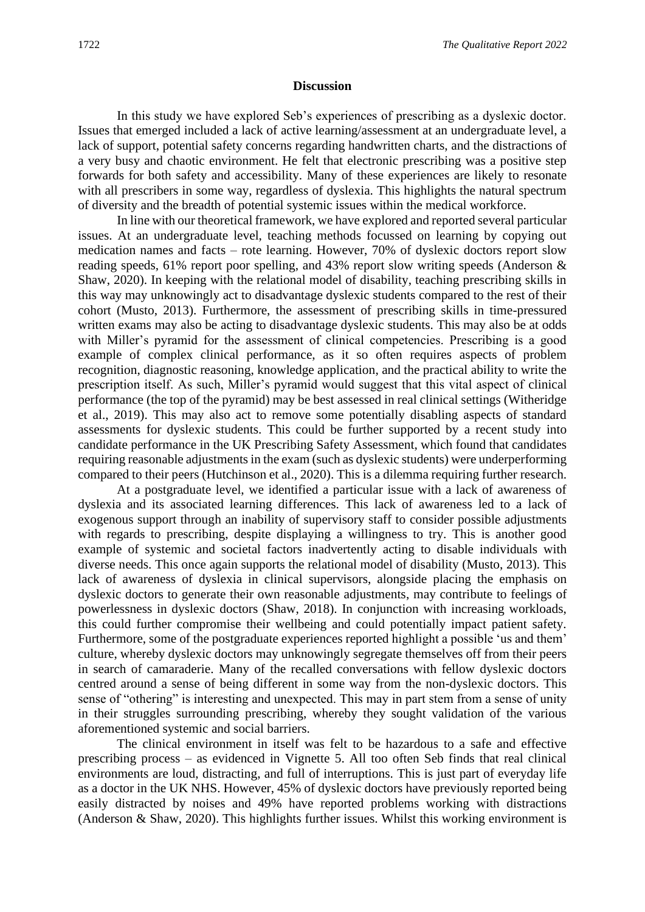#### **Discussion**

In this study we have explored Seb's experiences of prescribing as a dyslexic doctor. Issues that emerged included a lack of active learning/assessment at an undergraduate level, a lack of support, potential safety concerns regarding handwritten charts, and the distractions of a very busy and chaotic environment. He felt that electronic prescribing was a positive step forwards for both safety and accessibility. Many of these experiences are likely to resonate with all prescribers in some way, regardless of dyslexia. This highlights the natural spectrum of diversity and the breadth of potential systemic issues within the medical workforce.

In line with our theoretical framework, we have explored and reported several particular issues. At an undergraduate level, teaching methods focussed on learning by copying out medication names and facts – rote learning. However, 70% of dyslexic doctors report slow reading speeds, 61% report poor spelling, and 43% report slow writing speeds (Anderson & Shaw, 2020). In keeping with the relational model of disability, teaching prescribing skills in this way may unknowingly act to disadvantage dyslexic students compared to the rest of their cohort (Musto, 2013). Furthermore, the assessment of prescribing skills in time-pressured written exams may also be acting to disadvantage dyslexic students. This may also be at odds with Miller's pyramid for the assessment of clinical competencies. Prescribing is a good example of complex clinical performance, as it so often requires aspects of problem recognition, diagnostic reasoning, knowledge application, and the practical ability to write the prescription itself. As such, Miller's pyramid would suggest that this vital aspect of clinical performance (the top of the pyramid) may be best assessed in real clinical settings (Witheridge et al., 2019). This may also act to remove some potentially disabling aspects of standard assessments for dyslexic students. This could be further supported by a recent study into candidate performance in the UK Prescribing Safety Assessment, which found that candidates requiring reasonable adjustments in the exam (such as dyslexic students) were underperforming compared to their peers (Hutchinson et al., 2020). This is a dilemma requiring further research.

At a postgraduate level, we identified a particular issue with a lack of awareness of dyslexia and its associated learning differences. This lack of awareness led to a lack of exogenous support through an inability of supervisory staff to consider possible adjustments with regards to prescribing, despite displaying a willingness to try. This is another good example of systemic and societal factors inadvertently acting to disable individuals with diverse needs. This once again supports the relational model of disability (Musto, 2013). This lack of awareness of dyslexia in clinical supervisors, alongside placing the emphasis on dyslexic doctors to generate their own reasonable adjustments, may contribute to feelings of powerlessness in dyslexic doctors (Shaw, 2018). In conjunction with increasing workloads, this could further compromise their wellbeing and could potentially impact patient safety. Furthermore, some of the postgraduate experiences reported highlight a possible 'us and them' culture, whereby dyslexic doctors may unknowingly segregate themselves off from their peers in search of camaraderie. Many of the recalled conversations with fellow dyslexic doctors centred around a sense of being different in some way from the non-dyslexic doctors. This sense of "othering" is interesting and unexpected. This may in part stem from a sense of unity in their struggles surrounding prescribing, whereby they sought validation of the various aforementioned systemic and social barriers.

The clinical environment in itself was felt to be hazardous to a safe and effective prescribing process – as evidenced in Vignette 5. All too often Seb finds that real clinical environments are loud, distracting, and full of interruptions. This is just part of everyday life as a doctor in the UK NHS. However, 45% of dyslexic doctors have previously reported being easily distracted by noises and 49% have reported problems working with distractions (Anderson & Shaw, 2020). This highlights further issues. Whilst this working environment is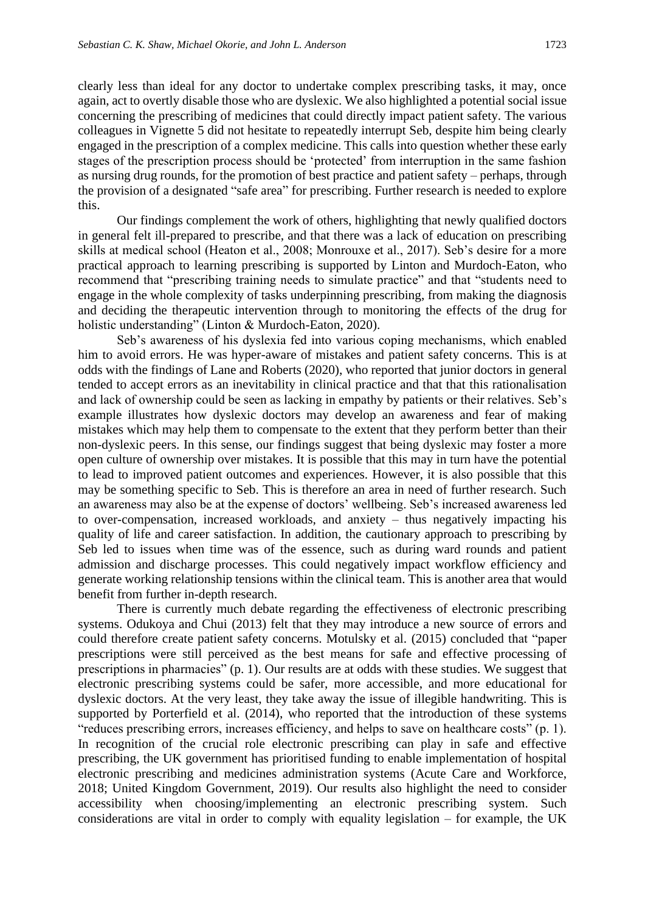clearly less than ideal for any doctor to undertake complex prescribing tasks, it may, once again, act to overtly disable those who are dyslexic. We also highlighted a potential social issue concerning the prescribing of medicines that could directly impact patient safety. The various colleagues in Vignette 5 did not hesitate to repeatedly interrupt Seb, despite him being clearly engaged in the prescription of a complex medicine. This calls into question whether these early stages of the prescription process should be 'protected' from interruption in the same fashion as nursing drug rounds, for the promotion of best practice and patient safety – perhaps, through the provision of a designated "safe area" for prescribing. Further research is needed to explore this.

Our findings complement the work of others, highlighting that newly qualified doctors in general felt ill-prepared to prescribe, and that there was a lack of education on prescribing skills at medical school (Heaton et al., 2008; Monrouxe et al., 2017). Seb's desire for a more practical approach to learning prescribing is supported by Linton and Murdoch-Eaton, who recommend that "prescribing training needs to simulate practice" and that "students need to engage in the whole complexity of tasks underpinning prescribing, from making the diagnosis and deciding the therapeutic intervention through to monitoring the effects of the drug for holistic understanding" (Linton & Murdoch-Eaton, 2020).

Seb's awareness of his dyslexia fed into various coping mechanisms, which enabled him to avoid errors. He was hyper-aware of mistakes and patient safety concerns. This is at odds with the findings of Lane and Roberts (2020), who reported that junior doctors in general tended to accept errors as an inevitability in clinical practice and that that this rationalisation and lack of ownership could be seen as lacking in empathy by patients or their relatives. Seb's example illustrates how dyslexic doctors may develop an awareness and fear of making mistakes which may help them to compensate to the extent that they perform better than their non-dyslexic peers. In this sense, our findings suggest that being dyslexic may foster a more open culture of ownership over mistakes. It is possible that this may in turn have the potential to lead to improved patient outcomes and experiences. However, it is also possible that this may be something specific to Seb. This is therefore an area in need of further research. Such an awareness may also be at the expense of doctors' wellbeing. Seb's increased awareness led to over-compensation, increased workloads, and anxiety – thus negatively impacting his quality of life and career satisfaction. In addition, the cautionary approach to prescribing by Seb led to issues when time was of the essence, such as during ward rounds and patient admission and discharge processes. This could negatively impact workflow efficiency and generate working relationship tensions within the clinical team. This is another area that would benefit from further in-depth research.

There is currently much debate regarding the effectiveness of electronic prescribing systems. Odukoya and Chui (2013) felt that they may introduce a new source of errors and could therefore create patient safety concerns. Motulsky et al. (2015) concluded that "paper prescriptions were still perceived as the best means for safe and effective processing of prescriptions in pharmacies" (p. 1). Our results are at odds with these studies. We suggest that electronic prescribing systems could be safer, more accessible, and more educational for dyslexic doctors. At the very least, they take away the issue of illegible handwriting. This is supported by Porterfield et al. (2014), who reported that the introduction of these systems "reduces prescribing errors, increases efficiency, and helps to save on healthcare costs" (p. 1). In recognition of the crucial role electronic prescribing can play in safe and effective prescribing, the UK government has prioritised funding to enable implementation of hospital electronic prescribing and medicines administration systems (Acute Care and Workforce, 2018; United Kingdom Government, 2019). Our results also highlight the need to consider accessibility when choosing/implementing an electronic prescribing system. Such considerations are vital in order to comply with equality legislation – for example, the UK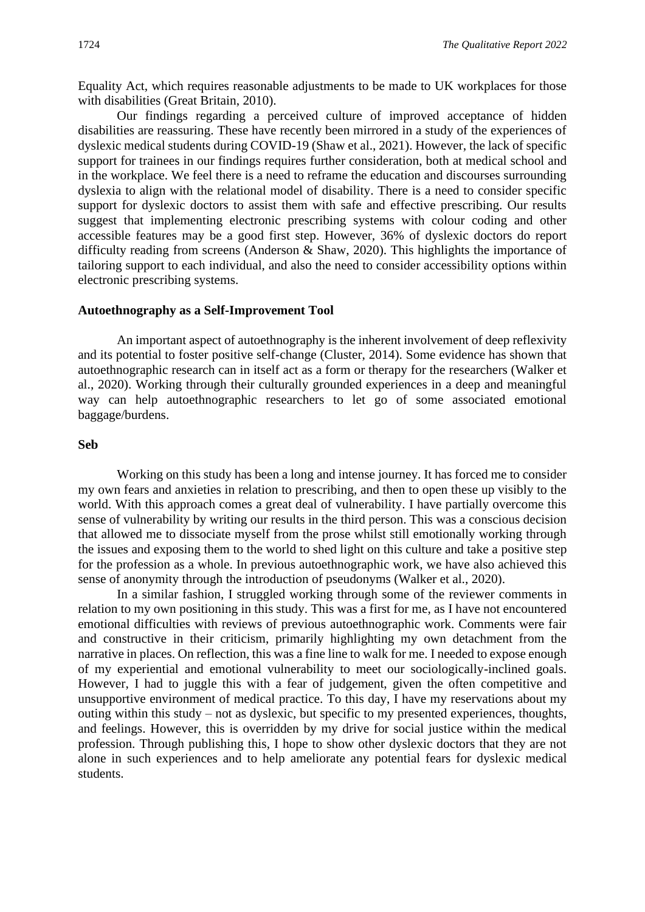Equality Act, which requires reasonable adjustments to be made to UK workplaces for those with disabilities (Great Britain, 2010).

Our findings regarding a perceived culture of improved acceptance of hidden disabilities are reassuring. These have recently been mirrored in a study of the experiences of dyslexic medical students during COVID-19 (Shaw et al., 2021). However, the lack of specific support for trainees in our findings requires further consideration, both at medical school and in the workplace. We feel there is a need to reframe the education and discourses surrounding dyslexia to align with the relational model of disability. There is a need to consider specific support for dyslexic doctors to assist them with safe and effective prescribing. Our results suggest that implementing electronic prescribing systems with colour coding and other accessible features may be a good first step. However, 36% of dyslexic doctors do report difficulty reading from screens (Anderson & Shaw, 2020). This highlights the importance of tailoring support to each individual, and also the need to consider accessibility options within electronic prescribing systems.

#### **Autoethnography as a Self-Improvement Tool**

An important aspect of autoethnography is the inherent involvement of deep reflexivity and its potential to foster positive self-change (Cluster, 2014). Some evidence has shown that autoethnographic research can in itself act as a form or therapy for the researchers (Walker et al., 2020). Working through their culturally grounded experiences in a deep and meaningful way can help autoethnographic researchers to let go of some associated emotional baggage/burdens.

## **Seb**

Working on this study has been a long and intense journey. It has forced me to consider my own fears and anxieties in relation to prescribing, and then to open these up visibly to the world. With this approach comes a great deal of vulnerability. I have partially overcome this sense of vulnerability by writing our results in the third person. This was a conscious decision that allowed me to dissociate myself from the prose whilst still emotionally working through the issues and exposing them to the world to shed light on this culture and take a positive step for the profession as a whole. In previous autoethnographic work, we have also achieved this sense of anonymity through the introduction of pseudonyms (Walker et al., 2020).

In a similar fashion, I struggled working through some of the reviewer comments in relation to my own positioning in this study. This was a first for me, as I have not encountered emotional difficulties with reviews of previous autoethnographic work. Comments were fair and constructive in their criticism, primarily highlighting my own detachment from the narrative in places. On reflection, this was a fine line to walk for me. I needed to expose enough of my experiential and emotional vulnerability to meet our sociologically-inclined goals. However, I had to juggle this with a fear of judgement, given the often competitive and unsupportive environment of medical practice. To this day, I have my reservations about my outing within this study – not as dyslexic, but specific to my presented experiences, thoughts, and feelings. However, this is overridden by my drive for social justice within the medical profession. Through publishing this, I hope to show other dyslexic doctors that they are not alone in such experiences and to help ameliorate any potential fears for dyslexic medical students.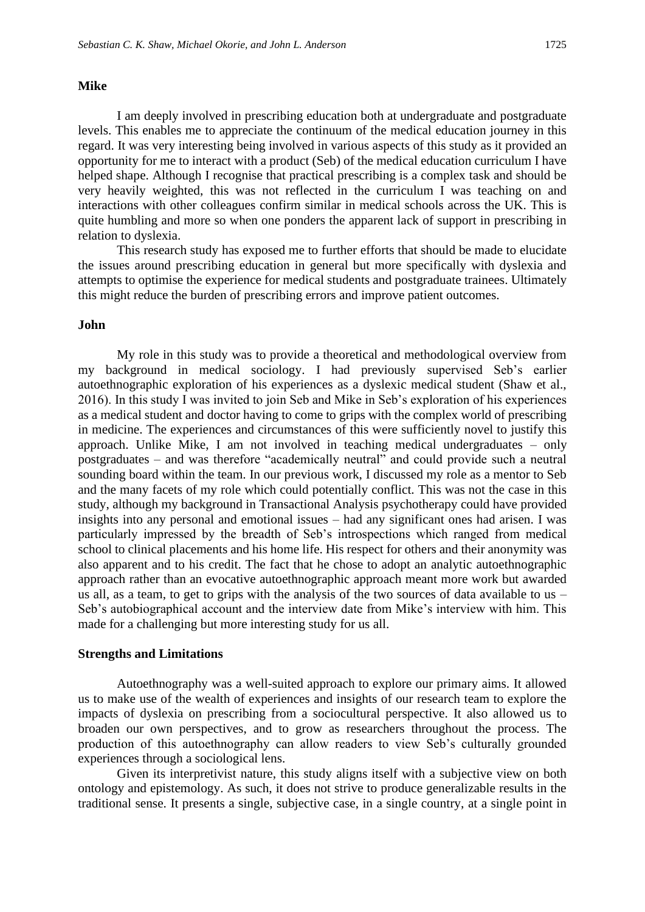#### **Mike**

I am deeply involved in prescribing education both at undergraduate and postgraduate levels. This enables me to appreciate the continuum of the medical education journey in this regard. It was very interesting being involved in various aspects of this study as it provided an opportunity for me to interact with a product (Seb) of the medical education curriculum I have helped shape. Although I recognise that practical prescribing is a complex task and should be very heavily weighted, this was not reflected in the curriculum I was teaching on and interactions with other colleagues confirm similar in medical schools across the UK. This is quite humbling and more so when one ponders the apparent lack of support in prescribing in relation to dyslexia.

This research study has exposed me to further efforts that should be made to elucidate the issues around prescribing education in general but more specifically with dyslexia and attempts to optimise the experience for medical students and postgraduate trainees. Ultimately this might reduce the burden of prescribing errors and improve patient outcomes.

#### **John**

My role in this study was to provide a theoretical and methodological overview from my background in medical sociology. I had previously supervised Seb's earlier autoethnographic exploration of his experiences as a dyslexic medical student (Shaw et al., 2016). In this study I was invited to join Seb and Mike in Seb's exploration of his experiences as a medical student and doctor having to come to grips with the complex world of prescribing in medicine. The experiences and circumstances of this were sufficiently novel to justify this approach. Unlike Mike, I am not involved in teaching medical undergraduates – only postgraduates – and was therefore "academically neutral" and could provide such a neutral sounding board within the team. In our previous work, I discussed my role as a mentor to Seb and the many facets of my role which could potentially conflict. This was not the case in this study, although my background in Transactional Analysis psychotherapy could have provided insights into any personal and emotional issues – had any significant ones had arisen. I was particularly impressed by the breadth of Seb's introspections which ranged from medical school to clinical placements and his home life. His respect for others and their anonymity was also apparent and to his credit. The fact that he chose to adopt an analytic autoethnographic approach rather than an evocative autoethnographic approach meant more work but awarded us all, as a team, to get to grips with the analysis of the two sources of data available to us – Seb's autobiographical account and the interview date from Mike's interview with him. This made for a challenging but more interesting study for us all.

#### **Strengths and Limitations**

Autoethnography was a well-suited approach to explore our primary aims. It allowed us to make use of the wealth of experiences and insights of our research team to explore the impacts of dyslexia on prescribing from a sociocultural perspective. It also allowed us to broaden our own perspectives, and to grow as researchers throughout the process. The production of this autoethnography can allow readers to view Seb's culturally grounded experiences through a sociological lens.

Given its interpretivist nature, this study aligns itself with a subjective view on both ontology and epistemology. As such, it does not strive to produce generalizable results in the traditional sense. It presents a single, subjective case, in a single country, at a single point in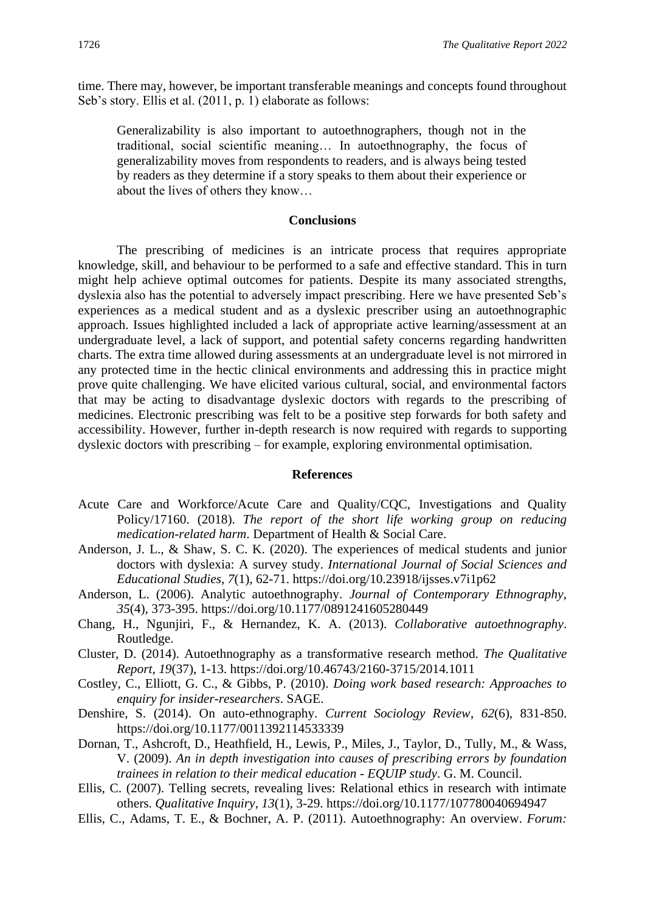time. There may, however, be important transferable meanings and concepts found throughout Seb's story. Ellis et al. (2011, p. 1) elaborate as follows:

Generalizability is also important to autoethnographers, though not in the traditional, social scientific meaning… In autoethnography, the focus of generalizability moves from respondents to readers, and is always being tested by readers as they determine if a story speaks to them about their experience or about the lives of others they know…

## **Conclusions**

The prescribing of medicines is an intricate process that requires appropriate knowledge, skill, and behaviour to be performed to a safe and effective standard. This in turn might help achieve optimal outcomes for patients. Despite its many associated strengths, dyslexia also has the potential to adversely impact prescribing. Here we have presented Seb's experiences as a medical student and as a dyslexic prescriber using an autoethnographic approach. Issues highlighted included a lack of appropriate active learning/assessment at an undergraduate level, a lack of support, and potential safety concerns regarding handwritten charts. The extra time allowed during assessments at an undergraduate level is not mirrored in any protected time in the hectic clinical environments and addressing this in practice might prove quite challenging. We have elicited various cultural, social, and environmental factors that may be acting to disadvantage dyslexic doctors with regards to the prescribing of medicines. Electronic prescribing was felt to be a positive step forwards for both safety and accessibility. However, further in-depth research is now required with regards to supporting dyslexic doctors with prescribing – for example, exploring environmental optimisation.

#### **References**

- Acute Care and Workforce/Acute Care and Ouality/COC, Investigations and Ouality Policy/17160. (2018). *The report of the short life working group on reducing medication-related harm*. Department of Health & Social Care.
- Anderson, J. L., & Shaw, S. C. K. (2020). The experiences of medical students and junior doctors with dyslexia: A survey study. *International Journal of Social Sciences and Educational Studies*, *7*(1), 62-71. https://doi.org/10.23918/ijsses.v7i1p62
- Anderson, L. (2006). Analytic autoethnography. *Journal of Contemporary Ethnography*, *35*(4), 373-395. https://doi.org/10.1177/0891241605280449
- Chang, H., Ngunjiri, F., & Hernandez, K. A. (2013). *Collaborative autoethnography*. Routledge.
- Cluster, D. (2014). Autoethnography as a transformative research method. *The Qualitative Report*, *19*(37), 1-13. https://doi.org/10.46743/2160-3715/2014.1011
- Costley, C., Elliott, G. C., & Gibbs, P. (2010). *Doing work based research: Approaches to enquiry for insider-researchers*. SAGE.
- Denshire, S. (2014). On auto-ethnography. *Current Sociology Review*, *62*(6), 831-850. https://doi.org/10.1177/0011392114533339
- Dornan, T., Ashcroft, D., Heathfield, H., Lewis, P., Miles, J., Taylor, D., Tully, M., & Wass, V. (2009). *An in depth investigation into causes of prescribing errors by foundation trainees in relation to their medical education - EQUIP study*. G. M. Council.
- Ellis, C. (2007). Telling secrets, revealing lives: Relational ethics in research with intimate others. *Qualitative Inquiry*, *13*(1), 3-29. https://doi.org/10.1177/107780040694947
- Ellis, C., Adams, T. E., & Bochner, A. P. (2011). Autoethnography: An overview. *Forum:*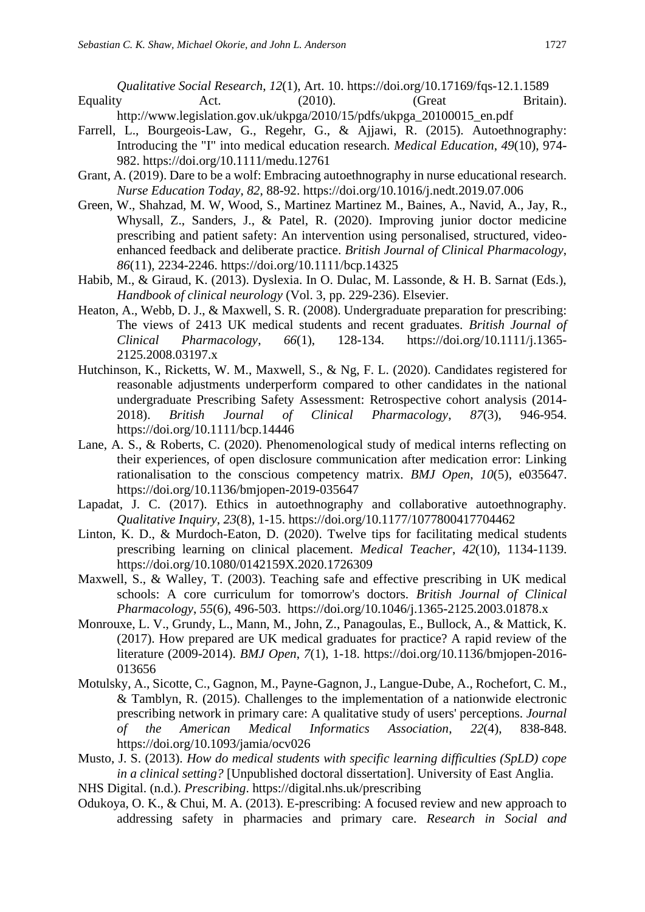*Qualitative Social Research*, *12*(1), Art. 10. https://doi.org/10.17169/fqs-12.1.1589 Equality Act. (2010). (Great Britain).

- http://www.legislation.gov.uk/ukpga/2010/15/pdfs/ukpga\_20100015\_en.pdf
- Farrell, L., Bourgeois-Law, G., Regehr, G., & Ajjawi, R. (2015). Autoethnography: Introducing the "I" into medical education research. *Medical Education*, *49*(10), 974- 982. https://doi.org/10.1111/medu.12761
- Grant, A. (2019). Dare to be a wolf: Embracing autoethnography in nurse educational research. *Nurse Education Today*, *82*, 88-92. https://doi.org/10.1016/j.nedt.2019.07.006
- Green, W., Shahzad, M. W, Wood, S., Martinez Martinez M., Baines, A., Navid, A., Jay, R., Whysall, Z., Sanders, J., & Patel, R. (2020). Improving junior doctor medicine prescribing and patient safety: An intervention using personalised, structured, videoenhanced feedback and deliberate practice. *British Journal of Clinical Pharmacology*, *86*(11), 2234-2246. https://doi.org/10.1111/bcp.14325
- Habib, M., & Giraud, K. (2013). Dyslexia. In O. Dulac, M. Lassonde, & H. B. Sarnat (Eds.), *Handbook of clinical neurology* (Vol. 3, pp. 229-236). Elsevier.
- Heaton, A., Webb, D. J., & Maxwell, S. R. (2008). Undergraduate preparation for prescribing: The views of 2413 UK medical students and recent graduates. *British Journal of Clinical Pharmacology*, *66*(1), 128-134. https://doi.org/10.1111/j.1365- 2125.2008.03197.x
- Hutchinson, K., Ricketts, W. M., Maxwell, S., & Ng, F. L. (2020). Candidates registered for reasonable adjustments underperform compared to other candidates in the national undergraduate Prescribing Safety Assessment: Retrospective cohort analysis (2014- 2018). *British Journal of Clinical Pharmacology*, *87*(3), 946-954. https://doi.org/10.1111/bcp.14446
- Lane, A. S., & Roberts, C. (2020). Phenomenological study of medical interns reflecting on their experiences, of open disclosure communication after medication error: Linking rationalisation to the conscious competency matrix. *BMJ Open*, *10*(5), e035647. https://doi.org/10.1136/bmjopen-2019-035647
- Lapadat, J. C. (2017). Ethics in autoethnography and collaborative autoethnography. *Qualitative Inquiry*, *23*(8), 1-15. https://doi.org/10.1177/1077800417704462
- Linton, K. D., & Murdoch-Eaton, D. (2020). Twelve tips for facilitating medical students prescribing learning on clinical placement. *Medical Teacher*, *42*(10), 1134-1139. https://doi.org/10.1080/0142159X.2020.1726309
- Maxwell, S., & Walley, T. (2003). Teaching safe and effective prescribing in UK medical schools: A core curriculum for tomorrow's doctors. *British Journal of Clinical Pharmacology*, *55*(6), 496-503. https://doi.org/10.1046/j.1365-2125.2003.01878.x
- Monrouxe, L. V., Grundy, L., Mann, M., John, Z., Panagoulas, E., Bullock, A., & Mattick, K. (2017). How prepared are UK medical graduates for practice? A rapid review of the literature (2009-2014). *BMJ Open*, *7*(1), 1-18. https://doi.org/10.1136/bmjopen-2016- 013656
- Motulsky, A., Sicotte, C., Gagnon, M., Payne-Gagnon, J., Langue-Dube, A., Rochefort, C. M., & Tamblyn, R. (2015). Challenges to the implementation of a nationwide electronic prescribing network in primary care: A qualitative study of users' perceptions. *Journal of the American Medical Informatics Association*, *22*(4), 838-848. https://doi.org/10.1093/jamia/ocv026
- Musto, J. S. (2013). *How do medical students with specific learning difficulties (SpLD) cope in a clinical setting?* [Unpublished doctoral dissertation]. University of East Anglia.
- NHS Digital. (n.d.). *Prescribing*. https://digital.nhs.uk/prescribing
- Odukoya, O. K., & Chui, M. A. (2013). E-prescribing: A focused review and new approach to addressing safety in pharmacies and primary care. *Research in Social and*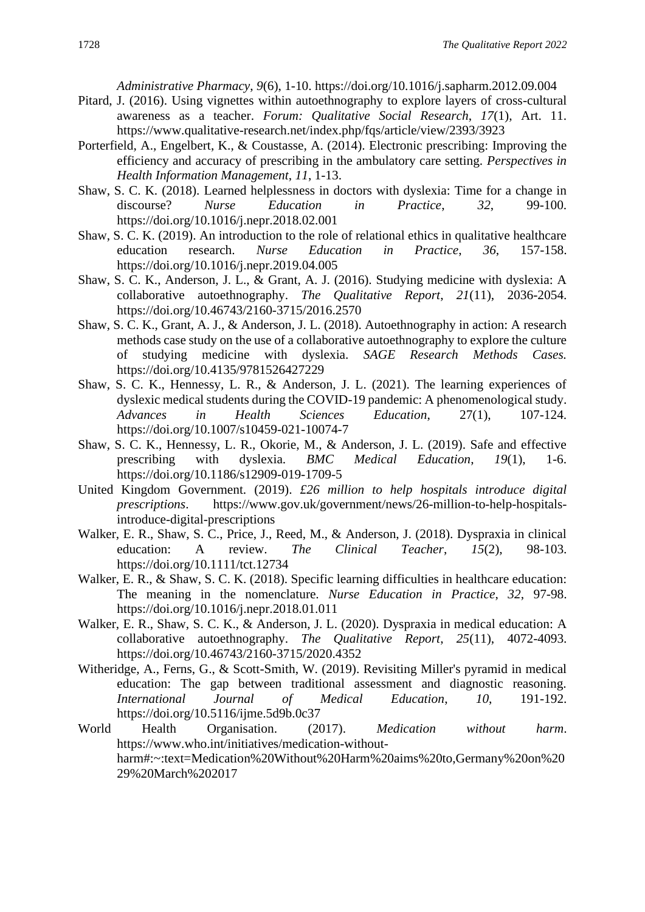*Administrative Pharmacy*, *9*(6), 1-10. https://doi.org/10.1016/j.sapharm.2012.09.004

- Pitard, J. (2016). Using vignettes within autoethnography to explore layers of cross-cultural awareness as a teacher. *Forum: Qualitative Social Research*, *17*(1), Art. 11. https://www.qualitative-research.net/index.php/fqs/article/view/2393/3923
- Porterfield, A., Engelbert, K., & Coustasse, A. (2014). Electronic prescribing: Improving the efficiency and accuracy of prescribing in the ambulatory care setting. *Perspectives in Health Information Management*, *11*, 1-13.
- Shaw, S. C. K. (2018). Learned helplessness in doctors with dyslexia: Time for a change in discourse? *Nurse Education in Practice*, *32*, 99-100. https://doi.org/10.1016/j.nepr.2018.02.001
- Shaw, S. C. K. (2019). An introduction to the role of relational ethics in qualitative healthcare education research. *Nurse Education in Practice*, *36*, 157-158. https://doi.org/10.1016/j.nepr.2019.04.005
- Shaw, S. C. K., Anderson, J. L., & Grant, A. J. (2016). Studying medicine with dyslexia: A collaborative autoethnography. *The Qualitative Report*, *21*(11), 2036-2054. https://doi.org/10.46743/2160-3715/2016.2570
- Shaw, S. C. K., Grant, A. J., & Anderson, J. L. (2018). Autoethnography in action: A research methods case study on the use of a collaborative autoethnography to explore the culture of studying medicine with dyslexia. *SAGE Research Methods Cases.*  https://doi.org/10.4135/9781526427229
- Shaw, S. C. K., Hennessy, L. R., & Anderson, J. L. (2021). The learning experiences of dyslexic medical students during the COVID-19 pandemic: A phenomenological study. *Advances in Health Sciences Education*, 27(1), 107-124. https://doi.org/10.1007/s10459-021-10074-7
- Shaw, S. C. K., Hennessy, L. R., Okorie, M., & Anderson, J. L. (2019). Safe and effective prescribing with dyslexia. *BMC Medical Education*, *19*(1), 1-6. https://doi.org/10.1186/s12909-019-1709-5
- United Kingdom Government. (2019). *£26 million to help hospitals introduce digital prescriptions*. https://www.gov.uk/government/news/26-million-to-help-hospitalsintroduce-digital-prescriptions
- Walker, E. R., Shaw, S. C., Price, J., Reed, M., & Anderson, J. (2018). Dyspraxia in clinical education: A review. *The Clinical Teacher*, *15*(2), 98-103. https://doi.org/10.1111/tct.12734
- Walker, E. R., & Shaw, S. C. K. (2018). Specific learning difficulties in healthcare education: The meaning in the nomenclature. *Nurse Education in Practice*, *32*, 97-98. https://doi.org/10.1016/j.nepr.2018.01.011
- Walker, E. R., Shaw, S. C. K., & Anderson, J. L. (2020). Dyspraxia in medical education: A collaborative autoethnography. *The Qualitative Report*, *25*(11), 4072-4093. https://doi.org/10.46743/2160-3715/2020.4352
- Witheridge, A., Ferns, G., & Scott-Smith, W. (2019). Revisiting Miller's pyramid in medical education: The gap between traditional assessment and diagnostic reasoning. *International Journal of Medical Education*, *10*, 191-192. https://doi.org/10.5116/ijme.5d9b.0c37
- World Health Organisation. (2017). *Medication without harm*. https://www.who.int/initiatives/medication-withoutharm#:~:text=Medication%20Without%20Harm%20aims%20to,Germany%20on%20 29%20March%202017